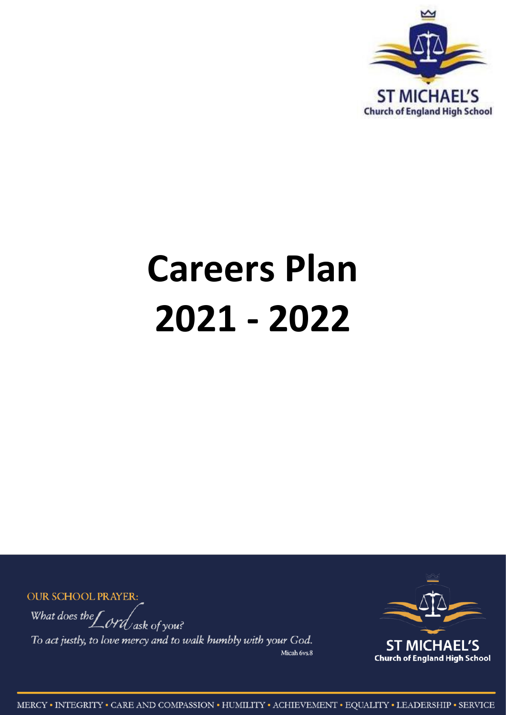

# **Careers Plan** 2021 - 2022

**OUR SCHOOL PRAYER:** 

What does the  $\int$  ord ask of you?

To act justly, to love mercy and to walk humbly with your God. Micah 6vs.8

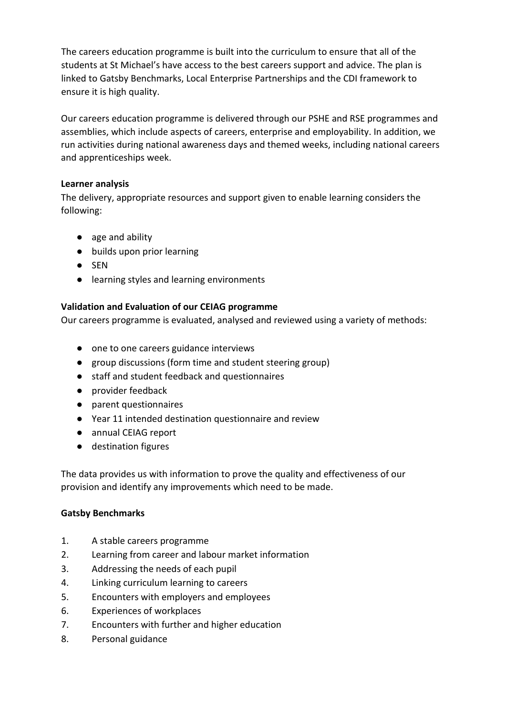The careers education programme is built into the curriculum to ensure that all of the students at St Michael's have access to the best careers support and advice. The plan is linked to Gatsby Benchmarks, Local Enterprise Partnerships and the CDI framework to ensure it is high quality.

Our careers education programme is delivered through our PSHE and RSE programmes and assemblies, which include aspects of careers, enterprise and employability. In addition, we run activities during national awareness days and themed weeks, including national careers and apprenticeships week.

#### **Learner analysis**

The delivery, appropriate resources and support given to enable learning considers the following:

- age and ability
- builds upon prior learning
- SEN
- learning styles and learning environments

#### **Validation and Evaluation of our CEIAG programme**

Our careers programme is evaluated, analysed and reviewed using a variety of methods:

- one to one careers guidance interviews
- group discussions (form time and student steering group)
- staff and student feedback and questionnaires
- provider feedback
- parent questionnaires
- Year 11 intended destination questionnaire and review
- annual CEIAG report
- destination figures

The data provides us with information to prove the quality and effectiveness of our provision and identify any improvements which need to be made.

#### **Gatsby Benchmarks**

- 1. A stable careers programme
- 2. Learning from career and labour market information
- 3. Addressing the needs of each pupil
- 4. Linking curriculum learning to careers
- 5. Encounters with employers and employees
- 6. Experiences of workplaces
- 7. Encounters with further and higher education
- 8. Personal guidance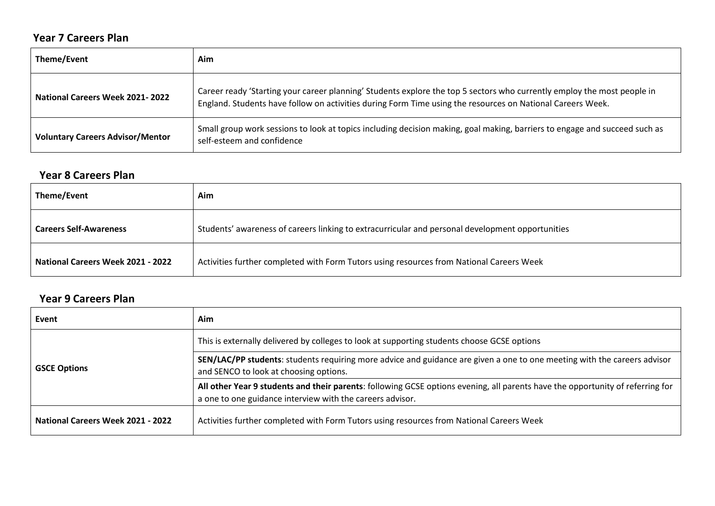## **Year 7 Careers Plan**

| Theme/Event                             | Aim                                                                                                                                                                                                                                   |
|-----------------------------------------|---------------------------------------------------------------------------------------------------------------------------------------------------------------------------------------------------------------------------------------|
| <b>National Careers Week 2021-2022</b>  | Career ready 'Starting your career planning' Students explore the top 5 sectors who currently employ the most people in<br>England. Students have follow on activities during Form Time using the resources on National Careers Week. |
| <b>Voluntary Careers Advisor/Mentor</b> | Small group work sessions to look at topics including decision making, goal making, barriers to engage and succeed such as<br>self-esteem and confidence                                                                              |

#### **Year 8 Careers Plan**

| Theme/Event                              | Aim                                                                                              |
|------------------------------------------|--------------------------------------------------------------------------------------------------|
| <b>Careers Self-Awareness</b>            | Students' awareness of careers linking to extracurricular and personal development opportunities |
| <b>National Careers Week 2021 - 2022</b> | Activities further completed with Form Tutors using resources from National Careers Week         |

## **Year 9 Careers Plan**

| Event                                    | Aim                                                                                                                                                                                         |
|------------------------------------------|---------------------------------------------------------------------------------------------------------------------------------------------------------------------------------------------|
| <b>GSCE Options</b>                      | This is externally delivered by colleges to look at supporting students choose GCSE options                                                                                                 |
|                                          | SEN/LAC/PP students: students requiring more advice and guidance are given a one to one meeting with the careers advisor<br>and SENCO to look at choosing options.                          |
|                                          | All other Year 9 students and their parents: following GCSE options evening, all parents have the opportunity of referring for<br>a one to one guidance interview with the careers advisor. |
| <b>National Careers Week 2021 - 2022</b> | Activities further completed with Form Tutors using resources from National Careers Week                                                                                                    |